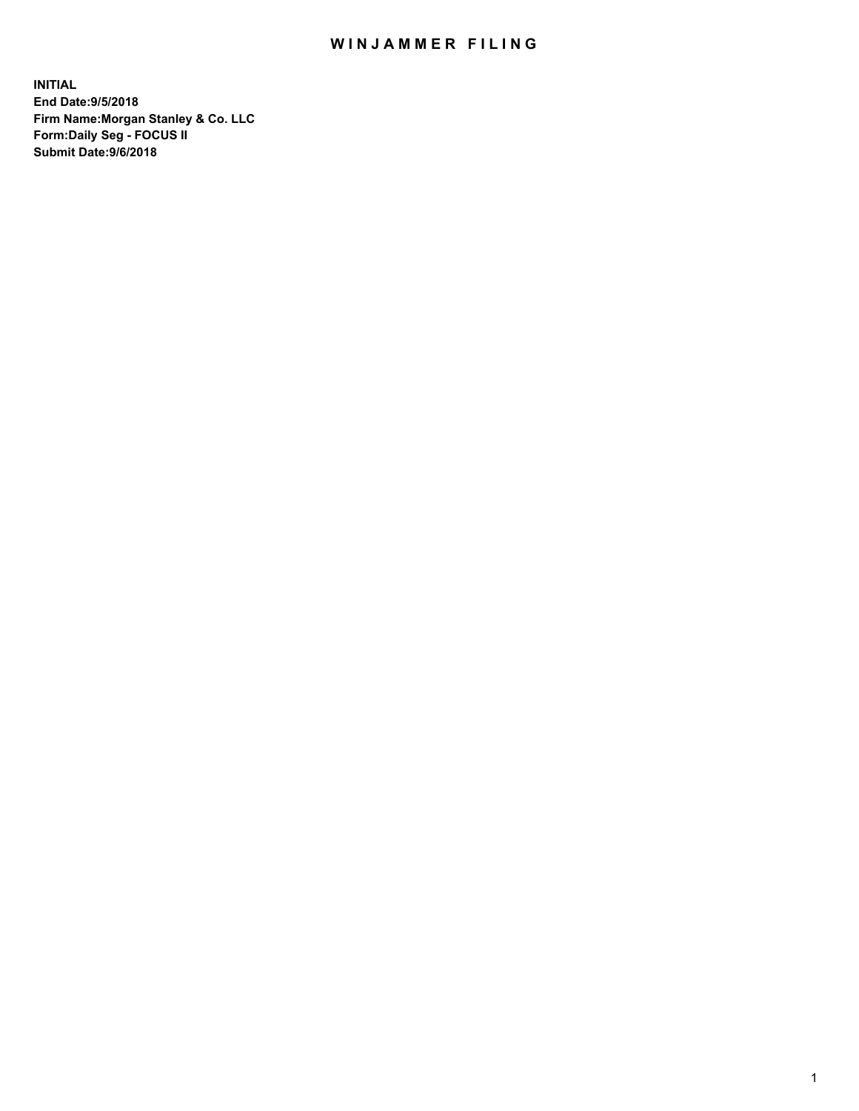## WIN JAMMER FILING

**INITIAL End Date:9/5/2018 Firm Name:Morgan Stanley & Co. LLC Form:Daily Seg - FOCUS II Submit Date:9/6/2018**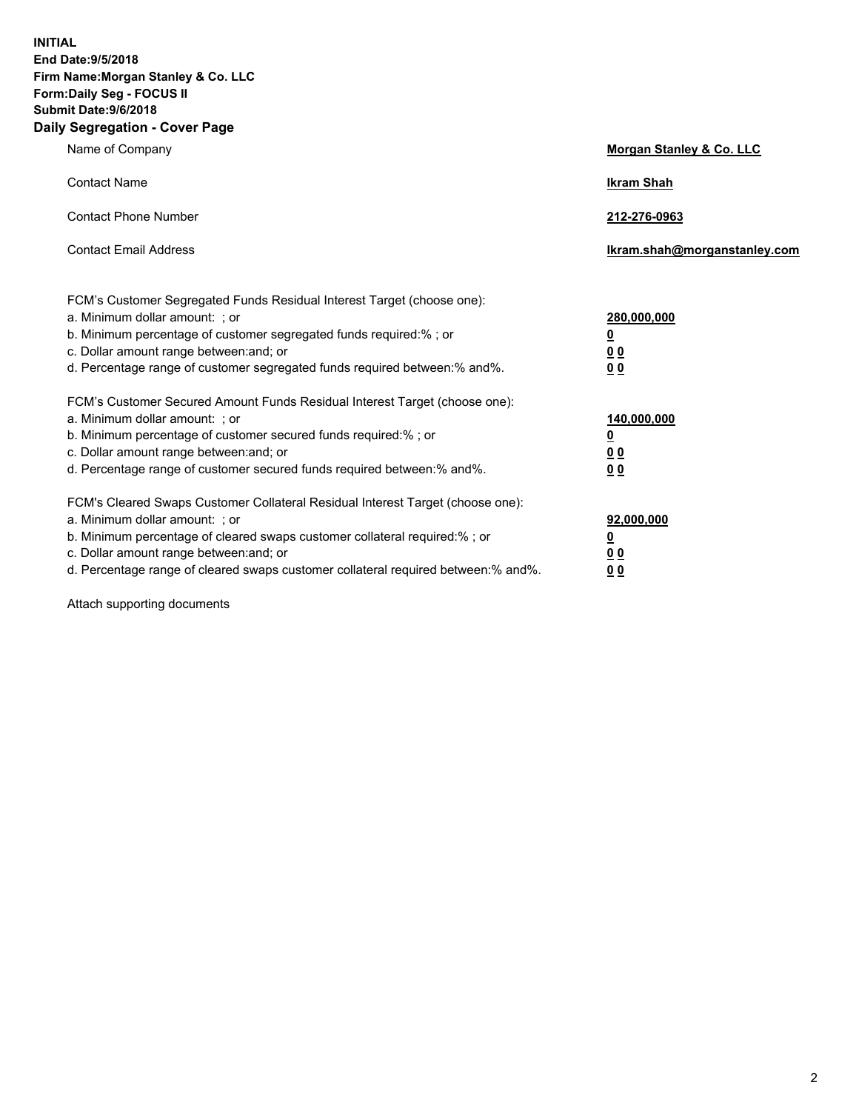**INITIAL End Date:9/5/2018 Firm Name:Morgan Stanley & Co. LLC Form:Daily Seg - FOCUS II Submit Date:9/6/2018 Daily Segregation - Cover Page**

| Name of Company                                                                                                                                                                                                                                                                                                                | Morgan Stanley & Co. LLC                        |
|--------------------------------------------------------------------------------------------------------------------------------------------------------------------------------------------------------------------------------------------------------------------------------------------------------------------------------|-------------------------------------------------|
| <b>Contact Name</b>                                                                                                                                                                                                                                                                                                            | <b>Ikram Shah</b>                               |
| <b>Contact Phone Number</b>                                                                                                                                                                                                                                                                                                    | 212-276-0963                                    |
| <b>Contact Email Address</b>                                                                                                                                                                                                                                                                                                   | Ikram.shah@morganstanley.com                    |
| FCM's Customer Segregated Funds Residual Interest Target (choose one):<br>a. Minimum dollar amount: ; or<br>b. Minimum percentage of customer segregated funds required:% ; or<br>c. Dollar amount range between: and; or                                                                                                      | 280,000,000<br><u>0</u><br><u>00</u>            |
| d. Percentage range of customer segregated funds required between:% and%.<br>FCM's Customer Secured Amount Funds Residual Interest Target (choose one):<br>a. Minimum dollar amount: ; or                                                                                                                                      | 0 <sup>0</sup><br>140,000,000                   |
| b. Minimum percentage of customer secured funds required:%; or<br>c. Dollar amount range between: and; or<br>d. Percentage range of customer secured funds required between: % and %.                                                                                                                                          | <u>0</u><br><u>0 0</u><br>0 <sub>0</sub>        |
| FCM's Cleared Swaps Customer Collateral Residual Interest Target (choose one):<br>a. Minimum dollar amount: ; or<br>b. Minimum percentage of cleared swaps customer collateral required:% ; or<br>c. Dollar amount range between: and; or<br>d. Percentage range of cleared swaps customer collateral required between:% and%. | 92,000,000<br><u>0</u><br>0 Q<br>0 <sub>0</sub> |

Attach supporting documents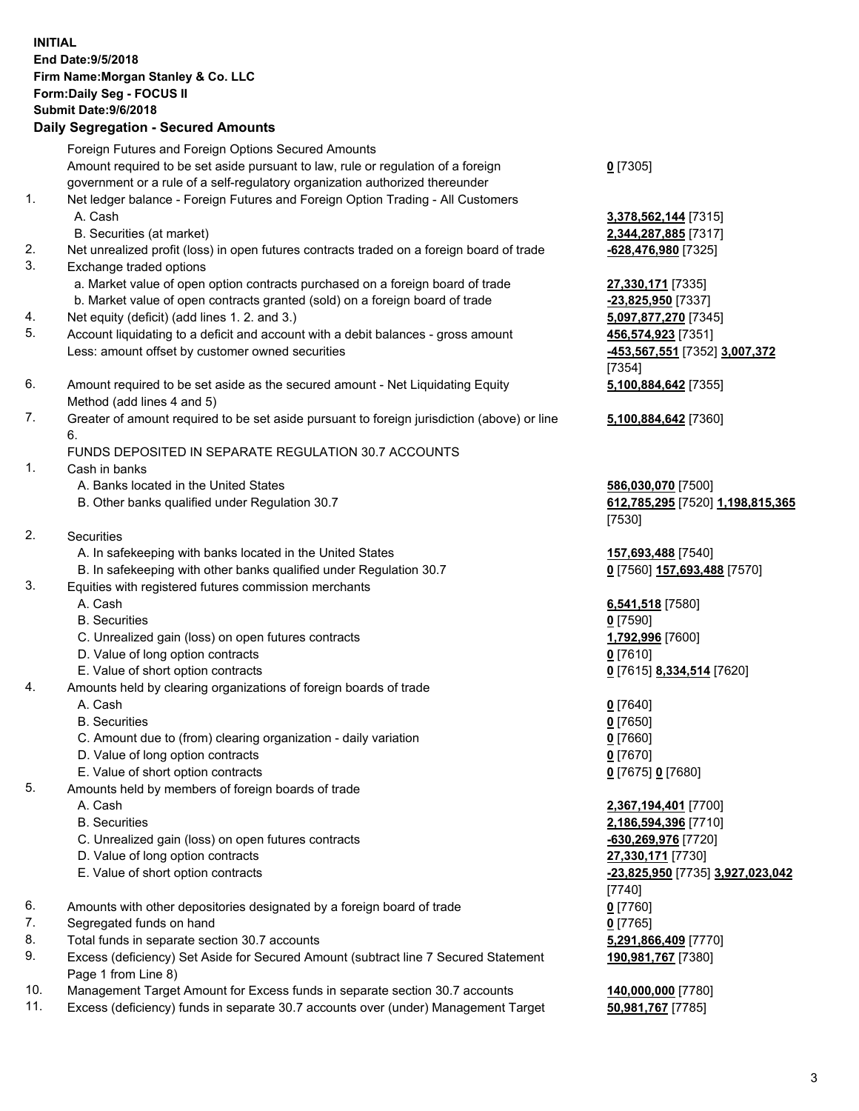|          | <b>INITIAL</b><br>End Date: 9/5/2018<br>Firm Name: Morgan Stanley & Co. LLC<br>Form: Daily Seg - FOCUS II<br><b>Submit Date: 9/6/2018</b><br><b>Daily Segregation - Secured Amounts</b> |                                            |
|----------|-----------------------------------------------------------------------------------------------------------------------------------------------------------------------------------------|--------------------------------------------|
|          | Foreign Futures and Foreign Options Secured Amounts                                                                                                                                     |                                            |
|          | Amount required to be set aside pursuant to law, rule or regulation of a foreign<br>government or a rule of a self-regulatory organization authorized thereunder                        | $0$ [7305]                                 |
| 1.       | Net ledger balance - Foreign Futures and Foreign Option Trading - All Customers                                                                                                         |                                            |
|          | A. Cash                                                                                                                                                                                 | 3,378,562,144 [7315]                       |
|          | B. Securities (at market)                                                                                                                                                               | 2,344,287,885 [7317]                       |
| 2.       | Net unrealized profit (loss) in open futures contracts traded on a foreign board of trade                                                                                               | -628,476,980 [7325]                        |
| 3.       | Exchange traded options                                                                                                                                                                 |                                            |
|          | a. Market value of open option contracts purchased on a foreign board of trade<br>b. Market value of open contracts granted (sold) on a foreign board of trade                          | 27,330,171 [7335]<br>-23,825,950 [7337]    |
| 4.       | Net equity (deficit) (add lines 1.2. and 3.)                                                                                                                                            | 5,097,877,270 [7345]                       |
| 5.       | Account liquidating to a deficit and account with a debit balances - gross amount                                                                                                       | 456,574,923 [7351]                         |
|          | Less: amount offset by customer owned securities                                                                                                                                        | -453,567,551 [7352] 3,007,372<br>[7354]    |
| 6.       | Amount required to be set aside as the secured amount - Net Liquidating Equity<br>Method (add lines 4 and 5)                                                                            | 5,100,884,642 [7355]                       |
| 7.       | Greater of amount required to be set aside pursuant to foreign jurisdiction (above) or line<br>6.                                                                                       | 5,100,884,642 [7360]                       |
|          | FUNDS DEPOSITED IN SEPARATE REGULATION 30.7 ACCOUNTS                                                                                                                                    |                                            |
| 1.       | Cash in banks                                                                                                                                                                           |                                            |
|          | A. Banks located in the United States                                                                                                                                                   | 586,030,070 [7500]                         |
|          | B. Other banks qualified under Regulation 30.7                                                                                                                                          | 612,785,295 [7520] 1,198,815,365<br>[7530] |
| 2.       | Securities                                                                                                                                                                              |                                            |
|          | A. In safekeeping with banks located in the United States                                                                                                                               | 157,693,488 [7540]                         |
|          | B. In safekeeping with other banks qualified under Regulation 30.7                                                                                                                      | 0 [7560] 157,693,488 [7570]                |
| 3.       | Equities with registered futures commission merchants                                                                                                                                   |                                            |
|          | A. Cash                                                                                                                                                                                 | 6,541,518 [7580]                           |
|          | <b>B.</b> Securities<br>C. Unrealized gain (loss) on open futures contracts                                                                                                             | $0$ [7590]<br>1,792,996 [7600]             |
|          | D. Value of long option contracts                                                                                                                                                       | $0$ [7610]                                 |
|          | E. Value of short option contracts                                                                                                                                                      | 0 [7615] 8,334,514 [7620]                  |
| 4.       | Amounts held by clearing organizations of foreign boards of trade                                                                                                                       |                                            |
|          | A. Cash                                                                                                                                                                                 | $0$ [7640]                                 |
|          | <b>B.</b> Securities                                                                                                                                                                    | $0$ [7650]                                 |
|          | C. Amount due to (from) clearing organization - daily variation                                                                                                                         | $0$ [7660]                                 |
|          | D. Value of long option contracts                                                                                                                                                       | $0$ [7670]                                 |
| 5.       | E. Value of short option contracts<br>Amounts held by members of foreign boards of trade                                                                                                | 0 [7675] 0 [7680]                          |
|          | A. Cash                                                                                                                                                                                 | 2,367,194,401 [7700]                       |
|          | <b>B.</b> Securities                                                                                                                                                                    | 2,186,594,396 [7710]                       |
|          | C. Unrealized gain (loss) on open futures contracts                                                                                                                                     | -630,269,976 [7720]                        |
|          | D. Value of long option contracts                                                                                                                                                       | 27,330,171 [7730]                          |
|          | E. Value of short option contracts                                                                                                                                                      | -23,825,950 [7735] 3,927,023,042           |
|          |                                                                                                                                                                                         | [7740]                                     |
| 6.       | Amounts with other depositories designated by a foreign board of trade                                                                                                                  | $0$ [7760]                                 |
| 7.<br>8. | Segregated funds on hand<br>Total funds in separate section 30.7 accounts                                                                                                               | $0$ [7765]<br>5,291,866,409 [7770]         |
| 9.       | Excess (deficiency) Set Aside for Secured Amount (subtract line 7 Secured Statement<br>Page 1 from Line 8)                                                                              | 190,981,767 [7380]                         |
|          |                                                                                                                                                                                         |                                            |

- 10. Management Target Amount for Excess funds in separate section 30.7 accounts **140,000,000** [7780]
- 11. Excess (deficiency) funds in separate 30.7 accounts over (under) Management Target **50,981,767** [7785]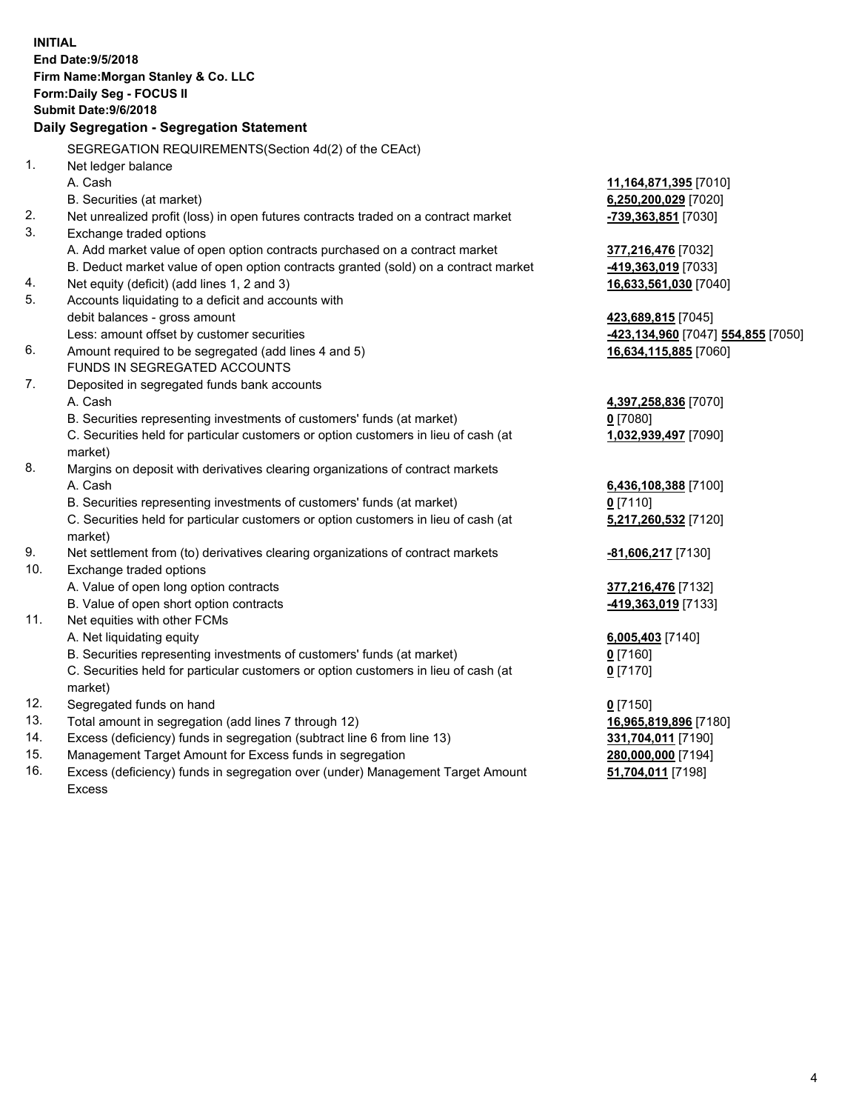|     | <b>INITIAL</b><br>End Date: 9/5/2018                                                                                                                          |                                    |
|-----|---------------------------------------------------------------------------------------------------------------------------------------------------------------|------------------------------------|
|     | Firm Name: Morgan Stanley & Co. LLC<br>Form: Daily Seg - FOCUS II                                                                                             |                                    |
|     | Submit Date: 9/6/2018                                                                                                                                         |                                    |
|     | Daily Segregation - Segregation Statement                                                                                                                     |                                    |
|     | SEGREGATION REQUIREMENTS(Section 4d(2) of the CEAct)                                                                                                          |                                    |
| 1.  | Net ledger balance                                                                                                                                            |                                    |
|     | A. Cash                                                                                                                                                       | 11,164,871,395 [7010]              |
|     | B. Securities (at market)                                                                                                                                     | 6,250,200,029 [7020]               |
| 2.  | Net unrealized profit (loss) in open futures contracts traded on a contract market                                                                            | -739,363,851 [7030]                |
| 3.  | Exchange traded options                                                                                                                                       |                                    |
|     | A. Add market value of open option contracts purchased on a contract market                                                                                   | 377,216,476 [7032]                 |
|     | B. Deduct market value of open option contracts granted (sold) on a contract market                                                                           | -419,363,019 [7033]                |
| 4.  | Net equity (deficit) (add lines 1, 2 and 3)                                                                                                                   | 16,633,561,030 [7040]              |
| 5.  | Accounts liquidating to a deficit and accounts with                                                                                                           |                                    |
|     | debit balances - gross amount                                                                                                                                 | 423,689,815 [7045]                 |
|     | Less: amount offset by customer securities                                                                                                                    | -423,134,960 [7047] 554,855 [7050] |
| 6.  | Amount required to be segregated (add lines 4 and 5)                                                                                                          | 16,634,115,885 [7060]              |
|     | FUNDS IN SEGREGATED ACCOUNTS                                                                                                                                  |                                    |
| 7.  | Deposited in segregated funds bank accounts                                                                                                                   |                                    |
|     | A. Cash                                                                                                                                                       | 4,397,258,836 [7070]               |
|     | B. Securities representing investments of customers' funds (at market)                                                                                        | $0$ [7080]                         |
|     | C. Securities held for particular customers or option customers in lieu of cash (at                                                                           | 1,032,939,497 [7090]               |
|     | market)                                                                                                                                                       |                                    |
| 8.  | Margins on deposit with derivatives clearing organizations of contract markets<br>A. Cash                                                                     |                                    |
|     |                                                                                                                                                               | 6,436,108,388 [7100]<br>$0$ [7110] |
|     | B. Securities representing investments of customers' funds (at market)<br>C. Securities held for particular customers or option customers in lieu of cash (at | 5,217,260,532 [7120]               |
|     | market)                                                                                                                                                       |                                    |
| 9.  | Net settlement from (to) derivatives clearing organizations of contract markets                                                                               | -81,606,217 [7130]                 |
| 10. | Exchange traded options                                                                                                                                       |                                    |
|     | A. Value of open long option contracts                                                                                                                        | 377,216,476 [7132]                 |
|     | B. Value of open short option contracts                                                                                                                       | -419,363,019 [7133]                |
| 11. | Net equities with other FCMs                                                                                                                                  |                                    |
|     | A. Net liquidating equity                                                                                                                                     | 6,005,403 [7140]                   |
|     | B. Securities representing investments of customers' funds (at market)                                                                                        | $0$ [7160]                         |
|     | C. Securities held for particular customers or option customers in lieu of cash (at                                                                           | 0 <sup>[7170]</sup>                |
|     | market)                                                                                                                                                       |                                    |
| 12. | Segregated funds on hand                                                                                                                                      | $0$ [7150]                         |
| 13. | Total amount in segregation (add lines 7 through 12)                                                                                                          | 16,965,819,896 [7180]              |
| 14. | Excess (deficiency) funds in segregation (subtract line 6 from line 13)                                                                                       | 331,704,011 [7190]                 |
| 15. | Management Target Amount for Excess funds in segregation                                                                                                      | 280,000,000 [7194]                 |

16. Excess (deficiency) funds in segregation over (under) Management Target Amount Excess

## **51,704,011** [7198]